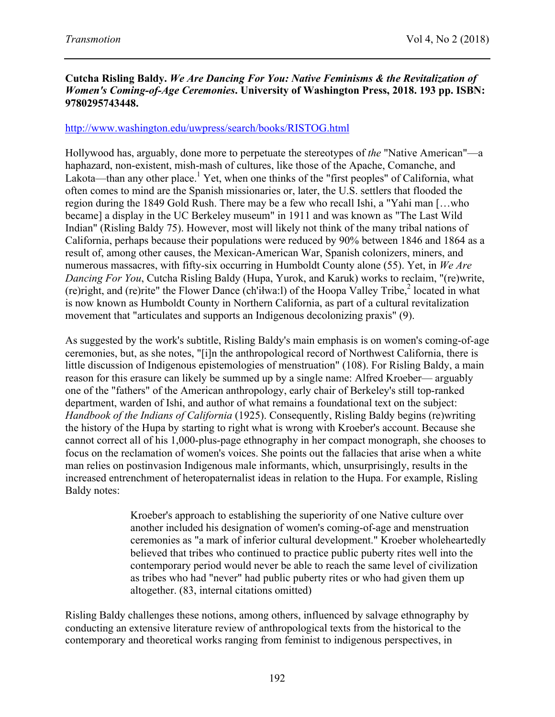## **Cutcha Risling Baldy.** *We Are Dancing For You: Native Feminisms & the Revitalization of Women's Coming-of-Age Ceremonies***. University of Washington Press, 2018. 193 pp. ISBN: 9780295743448.**

## http://www.washington.edu/uwpress/search/books/RISTOG.html

Hollywood has, arguably, done more to perpetuate the stereotypes of *the* "Native American"—a haphazard, non-existent, mish-mash of cultures, like those of the Apache, Comanche, and Lakota—than any other place.<sup>1</sup> Yet, when one thinks of the "first peoples" of California, what often comes to mind are the Spanish missionaries or, later, the U.S. settlers that flooded the region during the 1849 Gold Rush. There may be a few who recall Ishi, a "Yahi man […who became] a display in the UC Berkeley museum" in 1911 and was known as "The Last Wild Indian" (Risling Baldy 75). However, most will likely not think of the many tribal nations of California, perhaps because their populations were reduced by 90% between 1846 and 1864 as a result of, among other causes, the Mexican-American War, Spanish colonizers, miners, and numerous massacres, with fifty-six occurring in Humboldt County alone (55). Yet, in *We Are Dancing For You*, Cutcha Risling Baldy (Hupa, Yurok, and Karuk) works to reclaim, "(re)write, (re)right, and (re)rite" the Flower Dance (ch'iłwa:l) of the Hoopa Valley Tribe, <sup>2</sup> located in what is now known as Humboldt County in Northern California, as part of a cultural revitalization movement that "articulates and supports an Indigenous decolonizing praxis" (9).

As suggested by the work's subtitle, Risling Baldy's main emphasis is on women's coming-of-age ceremonies, but, as she notes, "[i]n the anthropological record of Northwest California, there is little discussion of Indigenous epistemologies of menstruation" (108). For Risling Baldy, a main reason for this erasure can likely be summed up by a single name: Alfred Kroeber— arguably one of the "fathers" of the American anthropology, early chair of Berkeley's still top-ranked department, warden of Ishi, and author of what remains a foundational text on the subject: *Handbook of the Indians of California* (1925). Consequently, Risling Baldy begins (re)writing the history of the Hupa by starting to right what is wrong with Kroeber's account. Because she cannot correct all of his 1,000-plus-page ethnography in her compact monograph, she chooses to focus on the reclamation of women's voices. She points out the fallacies that arise when a white man relies on postinvasion Indigenous male informants, which, unsurprisingly, results in the increased entrenchment of heteropaternalist ideas in relation to the Hupa. For example, Risling Baldy notes:

> Kroeber's approach to establishing the superiority of one Native culture over another included his designation of women's coming-of-age and menstruation ceremonies as "a mark of inferior cultural development." Kroeber wholeheartedly believed that tribes who continued to practice public puberty rites well into the contemporary period would never be able to reach the same level of civilization as tribes who had "never" had public puberty rites or who had given them up altogether. (83, internal citations omitted)

Risling Baldy challenges these notions, among others, influenced by salvage ethnography by conducting an extensive literature review of anthropological texts from the historical to the contemporary and theoretical works ranging from feminist to indigenous perspectives, in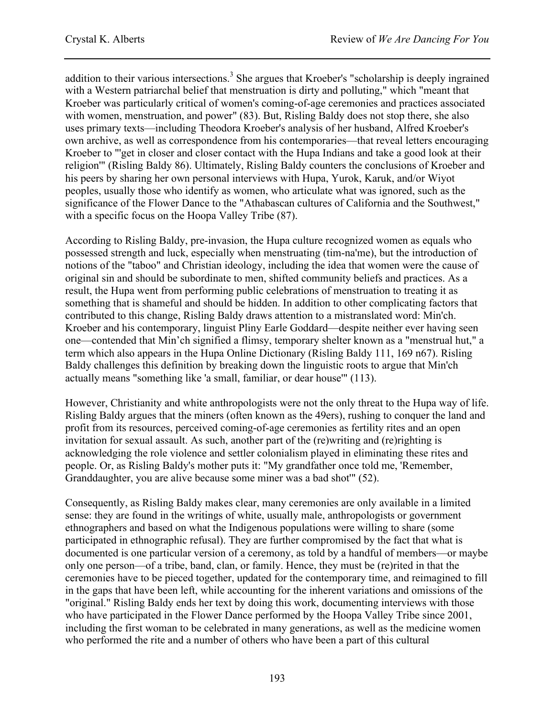addition to their various intersections.<sup>3</sup> She argues that Kroeber's "scholarship is deeply ingrained with a Western patriarchal belief that menstruation is dirty and polluting," which "meant that Kroeber was particularly critical of women's coming-of-age ceremonies and practices associated with women, menstruation, and power" (83). But, Risling Baldy does not stop there, she also uses primary texts––including Theodora Kroeber's analysis of her husband, Alfred Kroeber's own archive, as well as correspondence from his contemporaries—that reveal letters encouraging Kroeber to "'get in closer and closer contact with the Hupa Indians and take a good look at their religion'" (Risling Baldy 86). Ultimately, Risling Baldy counters the conclusions of Kroeber and his peers by sharing her own personal interviews with Hupa, Yurok, Karuk, and/or Wiyot peoples, usually those who identify as women, who articulate what was ignored, such as the significance of the Flower Dance to the "Athabascan cultures of California and the Southwest," with a specific focus on the Hoopa Valley Tribe (87).

According to Risling Baldy, pre-invasion, the Hupa culture recognized women as equals who possessed strength and luck, especially when menstruating (tim-na'me), but the introduction of notions of the "taboo" and Christian ideology, including the idea that women were the cause of original sin and should be subordinate to men, shifted community beliefs and practices. As a result, the Hupa went from performing public celebrations of menstruation to treating it as something that is shameful and should be hidden. In addition to other complicating factors that contributed to this change, Risling Baldy draws attention to a mistranslated word: Min'ch. Kroeber and his contemporary, linguist Pliny Earle Goddard—despite neither ever having seen one—contended that Min'ch signified a flimsy, temporary shelter known as a "menstrual hut," a term which also appears in the Hupa Online Dictionary (Risling Baldy 111, 169 n67). Risling Baldy challenges this definition by breaking down the linguistic roots to argue that Min'ch actually means "something like 'a small, familiar, or dear house'" (113).

However, Christianity and white anthropologists were not the only threat to the Hupa way of life. Risling Baldy argues that the miners (often known as the 49ers), rushing to conquer the land and profit from its resources, perceived coming-of-age ceremonies as fertility rites and an open invitation for sexual assault. As such, another part of the (re)writing and (re)righting is acknowledging the role violence and settler colonialism played in eliminating these rites and people. Or, as Risling Baldy's mother puts it: "My grandfather once told me, 'Remember, Granddaughter, you are alive because some miner was a bad shot'" (52).

Consequently, as Risling Baldy makes clear, many ceremonies are only available in a limited sense: they are found in the writings of white, usually male, anthropologists or government ethnographers and based on what the Indigenous populations were willing to share (some participated in ethnographic refusal). They are further compromised by the fact that what is documented is one particular version of a ceremony, as told by a handful of members—or maybe only one person—of a tribe, band, clan, or family. Hence, they must be (re)rited in that the ceremonies have to be pieced together, updated for the contemporary time, and reimagined to fill in the gaps that have been left, while accounting for the inherent variations and omissions of the "original." Risling Baldy ends her text by doing this work, documenting interviews with those who have participated in the Flower Dance performed by the Hoopa Valley Tribe since 2001, including the first woman to be celebrated in many generations, as well as the medicine women who performed the rite and a number of others who have been a part of this cultural